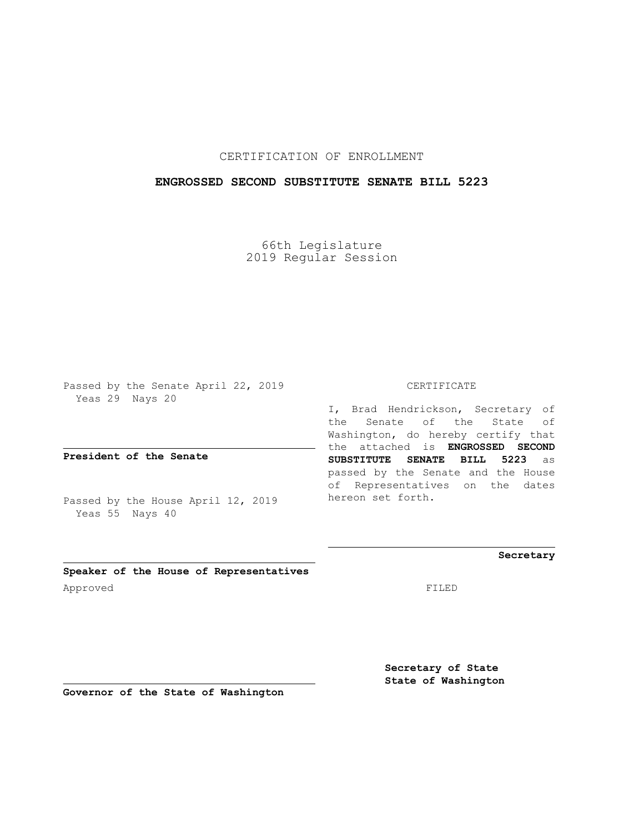# CERTIFICATION OF ENROLLMENT

## **ENGROSSED SECOND SUBSTITUTE SENATE BILL 5223**

66th Legislature 2019 Regular Session

Passed by the Senate April 22, 2019 Yeas 29 Nays 20

**President of the Senate**

Passed by the House April 12, 2019 Yeas 55 Nays 40

#### CERTIFICATE

I, Brad Hendrickson, Secretary of the Senate of the State of Washington, do hereby certify that the attached is **ENGROSSED SECOND SUBSTITUTE SENATE BILL 5223** as passed by the Senate and the House of Representatives on the dates hereon set forth.

**Secretary**

**Speaker of the House of Representatives** Approved FILED

**Secretary of State State of Washington**

**Governor of the State of Washington**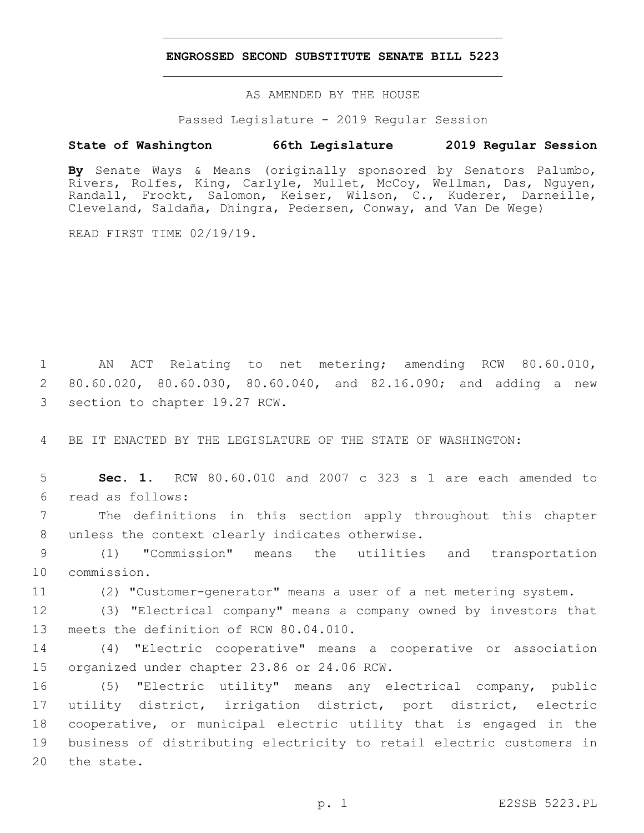#### **ENGROSSED SECOND SUBSTITUTE SENATE BILL 5223**

AS AMENDED BY THE HOUSE

Passed Legislature - 2019 Regular Session

### **State of Washington 66th Legislature 2019 Regular Session**

**By** Senate Ways & Means (originally sponsored by Senators Palumbo, Rivers, Rolfes, King, Carlyle, Mullet, McCoy, Wellman, Das, Nguyen, Randall, Frockt, Salomon, Keiser, Wilson, C., Kuderer, Darneille, Cleveland, Saldaña, Dhingra, Pedersen, Conway, and Van De Wege)

READ FIRST TIME 02/19/19.

1 AN ACT Relating to net metering; amending RCW 80.60.010, 2 80.60.020, 80.60.030, 80.60.040, and 82.16.090; and adding a new 3 section to chapter 19.27 RCW.

4 BE IT ENACTED BY THE LEGISLATURE OF THE STATE OF WASHINGTON:

5 **Sec. 1.** RCW 80.60.010 and 2007 c 323 s 1 are each amended to read as follows:6

7 The definitions in this section apply throughout this chapter 8 unless the context clearly indicates otherwise.

9 (1) "Commission" means the utilities and transportation 10 commission.

11 (2) "Customer-generator" means a user of a net metering system.

12 (3) "Electrical company" means a company owned by investors that 13 meets the definition of RCW 80.04.010.

14 (4) "Electric cooperative" means a cooperative or association 15 organized under chapter 23.86 or 24.06 RCW.

 (5) "Electric utility" means any electrical company, public utility district, irrigation district, port district, electric cooperative, or municipal electric utility that is engaged in the business of distributing electricity to retail electric customers in 20 the state.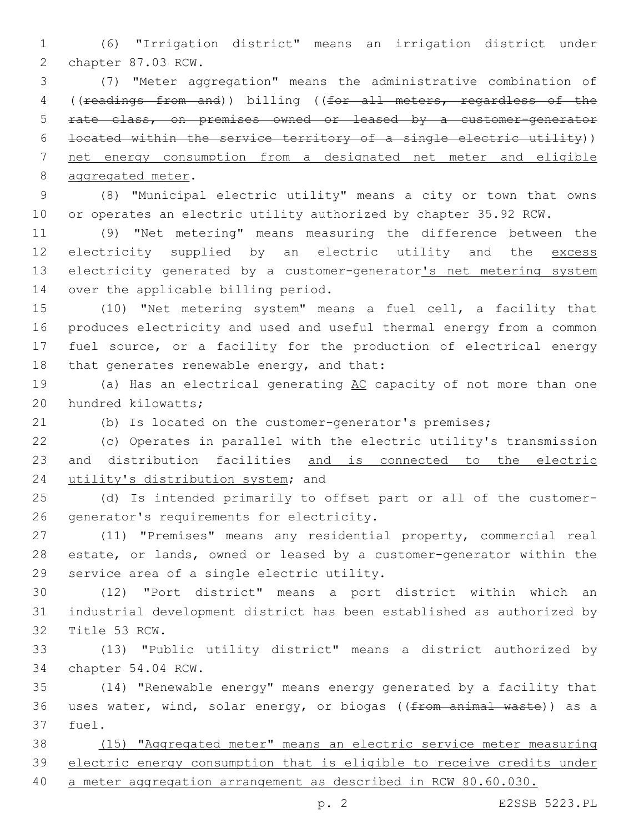(6) "Irrigation district" means an irrigation district under 2 chapter 87.03 RCW.

 (7) "Meter aggregation" means the administrative combination of ((readings from and)) billing ((for all meters, regardless of the rate class, on premises owned or leased by a customer-generator located within the service territory of a single electric utility)) net energy consumption from a designated net meter and eligible 8 aggregated meter.

 (8) "Municipal electric utility" means a city or town that owns or operates an electric utility authorized by chapter 35.92 RCW.

 (9) "Net metering" means measuring the difference between the 12 electricity supplied by an electric utility and the excess 13 electricity generated by a customer-generator's net metering system 14 over the applicable billing period.

 (10) "Net metering system" means a fuel cell, a facility that produces electricity and used and useful thermal energy from a common fuel source, or a facility for the production of electrical energy 18 that generates renewable energy, and that:

19 (a) Has an electrical generating AC capacity of not more than one 20 hundred kilowatts;

(b) Is located on the customer-generator's premises;

 (c) Operates in parallel with the electric utility's transmission and distribution facilities and is connected to the electric 24 utility's distribution system; and

 (d) Is intended primarily to offset part or all of the customer-26 generator's requirements for electricity.

 (11) "Premises" means any residential property, commercial real estate, or lands, owned or leased by a customer-generator within the 29 service area of a single electric utility.

 (12) "Port district" means a port district within which an industrial development district has been established as authorized by 32 Title 53 RCW.

 (13) "Public utility district" means a district authorized by 34 chapter 54.04 RCW.

 (14) "Renewable energy" means energy generated by a facility that 36 uses water, wind, solar energy, or biogas ((from animal waste)) as a 37 fuel.

 (15) "Aggregated meter" means an electric service meter measuring electric energy consumption that is eligible to receive credits under

a meter aggregation arrangement as described in RCW 80.60.030.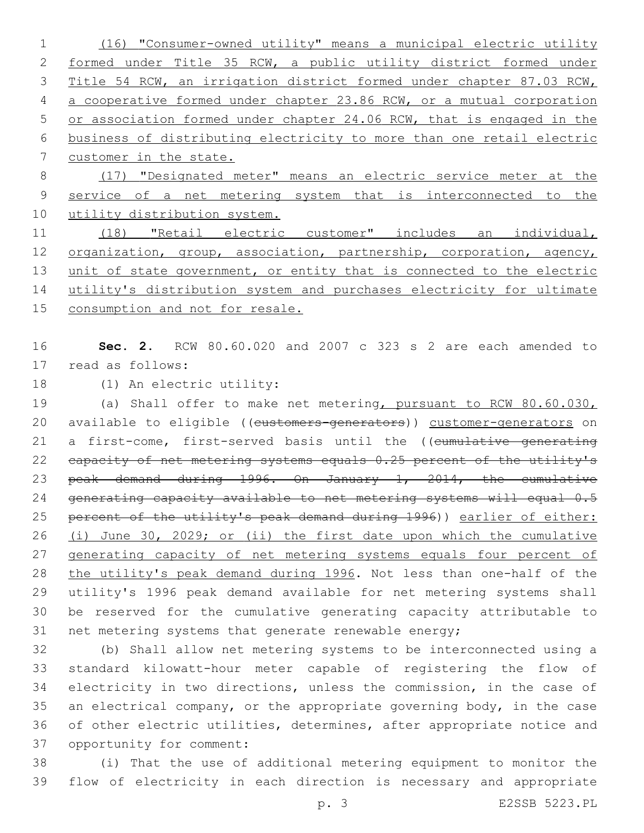(16) "Consumer-owned utility" means a municipal electric utility formed under Title 35 RCW, a public utility district formed under Title 54 RCW, an irrigation district formed under chapter 87.03 RCW, a cooperative formed under chapter 23.86 RCW, or a mutual corporation or association formed under chapter 24.06 RCW, that is engaged in the business of distributing electricity to more than one retail electric customer in the state.

 (17) "Designated meter" means an electric service meter at the service of a net metering system that is interconnected to the 10 utility distribution system.

 (18) "Retail electric customer" includes an individual, 12 organization, group, association, partnership, corporation, agency, 13 unit of state government, or entity that is connected to the electric utility's distribution system and purchases electricity for ultimate consumption and not for resale.

 **Sec. 2.** RCW 80.60.020 and 2007 c 323 s 2 are each amended to 17 read as follows:

18 (1) An electric utility:

 (a) Shall offer to make net metering, pursuant to RCW 80.60.030, 20 available to eligible ((customers-generators)) customer-generators on 21 a first-come, first-served basis until the ((cumulative generating 22 eapacity of net metering systems equals 0.25 percent of the utility's peak demand during 1996. On January 1, 2014, the cumulative 24 generating capacity available to net metering systems will equal 0.5 percent of the utility's peak demand during 1996)) earlier of either: (i) June 30, 2029; or (ii) the first date upon which the cumulative 27 generating capacity of net metering systems equals four percent of the utility's peak demand during 1996. Not less than one-half of the utility's 1996 peak demand available for net metering systems shall be reserved for the cumulative generating capacity attributable to 31 net metering systems that generate renewable energy;

 (b) Shall allow net metering systems to be interconnected using a standard kilowatt-hour meter capable of registering the flow of electricity in two directions, unless the commission, in the case of an electrical company, or the appropriate governing body, in the case of other electric utilities, determines, after appropriate notice and 37 opportunity for comment:

 (i) That the use of additional metering equipment to monitor the flow of electricity in each direction is necessary and appropriate

p. 3 E2SSB 5223.PL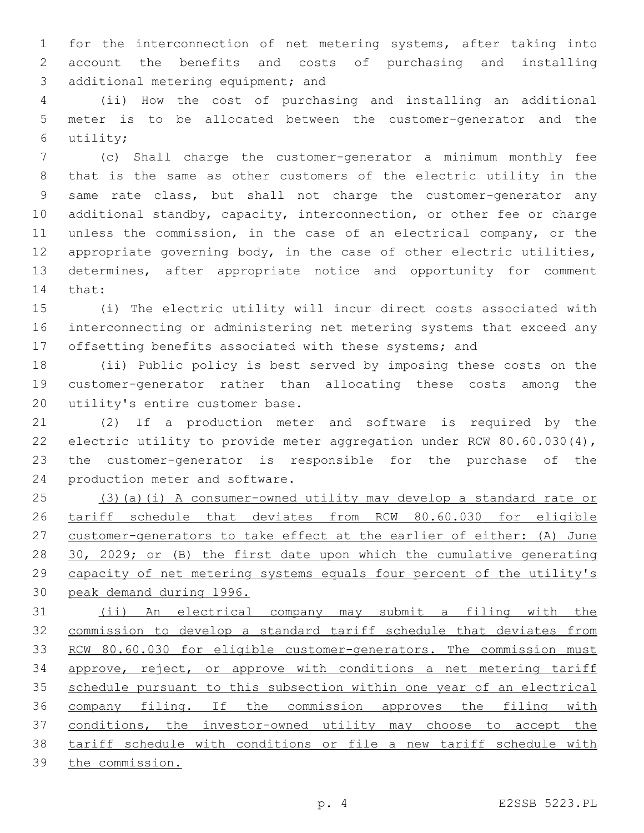for the interconnection of net metering systems, after taking into account the benefits and costs of purchasing and installing 3 additional metering equipment; and

 (ii) How the cost of purchasing and installing an additional meter is to be allocated between the customer-generator and the utility;6

 (c) Shall charge the customer-generator a minimum monthly fee that is the same as other customers of the electric utility in the same rate class, but shall not charge the customer-generator any additional standby, capacity, interconnection, or other fee or charge unless the commission, in the case of an electrical company, or the appropriate governing body, in the case of other electric utilities, determines, after appropriate notice and opportunity for comment 14 that:

 (i) The electric utility will incur direct costs associated with interconnecting or administering net metering systems that exceed any offsetting benefits associated with these systems; and

 (ii) Public policy is best served by imposing these costs on the customer-generator rather than allocating these costs among the 20 utility's entire customer base.

 (2) If a production meter and software is required by the electric utility to provide meter aggregation under RCW 80.60.030(4), the customer-generator is responsible for the purchase of the 24 production meter and software.

 (3)(a)(i) A consumer-owned utility may develop a standard rate or tariff schedule that deviates from RCW 80.60.030 for eligible customer-generators to take effect at the earlier of either: (A) June 28 30, 2029; or (B) the first date upon which the cumulative generating capacity of net metering systems equals four percent of the utility's peak demand during 1996.

 (ii) An electrical company may submit a filing with the commission to develop a standard tariff schedule that deviates from 33 RCW 80.60.030 for eligible customer-generators. The commission must approve, reject, or approve with conditions a net metering tariff schedule pursuant to this subsection within one year of an electrical 36 company filing. If the commission approves the filing with conditions, the investor-owned utility may choose to accept the tariff schedule with conditions or file a new tariff schedule with the commission.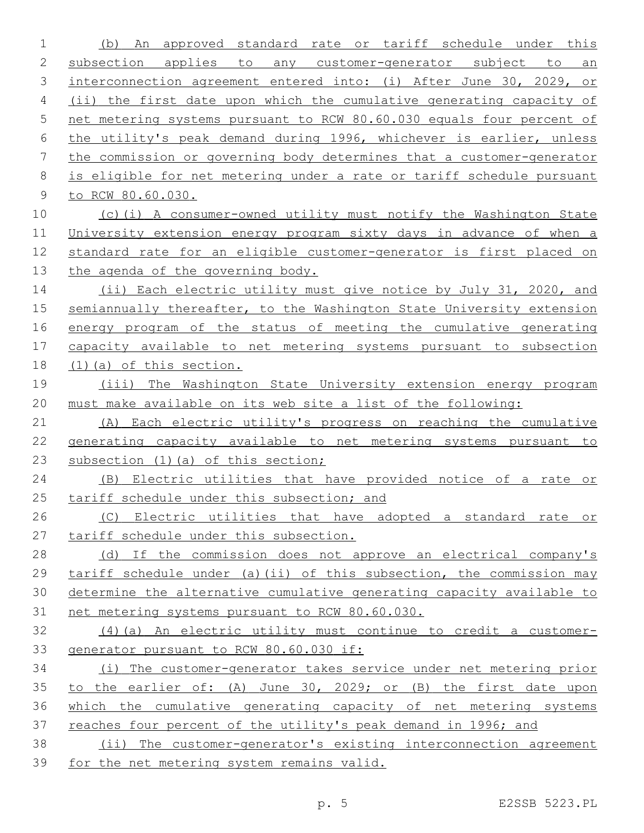(b) An approved standard rate or tariff schedule under this 2 subsection applies to any customer-generator subject to an interconnection agreement entered into: (i) After June 30, 2029, or (ii) the first date upon which the cumulative generating capacity of net metering systems pursuant to RCW 80.60.030 equals four percent of the utility's peak demand during 1996, whichever is earlier, unless the commission or governing body determines that a customer-generator is eligible for net metering under a rate or tariff schedule pursuant to RCW 80.60.030. (c)(i) A consumer-owned utility must notify the Washington State University extension energy program sixty days in advance of when a standard rate for an eligible customer-generator is first placed on 13 the agenda of the governing body. 14 (ii) Each electric utility must give notice by July 31, 2020, and semiannually thereafter, to the Washington State University extension 16 energy program of the status of meeting the cumulative generating capacity available to net metering systems pursuant to subsection (1)(a) of this section. (iii) The Washington State University extension energy program must make available on its web site a list of the following: (A) Each electric utility's progress on reaching the cumulative generating capacity available to net metering systems pursuant to 23 subsection (1) (a) of this section; (B) Electric utilities that have provided notice of a rate or 25 tariff schedule under this subsection; and (C) Electric utilities that have adopted a standard rate or tariff schedule under this subsection. 28 (d) If the commission does not approve an electrical company's tariff schedule under (a)(ii) of this subsection, the commission may determine the alternative cumulative generating capacity available to net metering systems pursuant to RCW 80.60.030. (4)(a) An electric utility must continue to credit a customer- generator pursuant to RCW 80.60.030 if: (i) The customer-generator takes service under net metering prior to the earlier of: (A) June 30, 2029; or (B) the first date upon which the cumulative generating capacity of net metering systems reaches four percent of the utility's peak demand in 1996; and (ii) The customer-generator's existing interconnection agreement for the net metering system remains valid.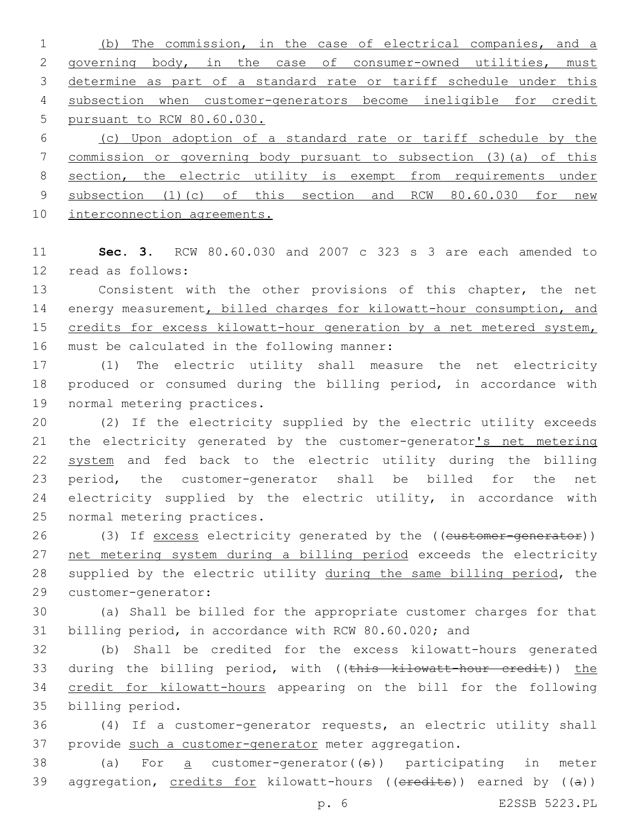(b) The commission, in the case of electrical companies, and a 2 governing body, in the case of consumer-owned utilities, must determine as part of a standard rate or tariff schedule under this subsection when customer-generators become ineligible for credit pursuant to RCW 80.60.030.

6 (c) Upon adoption of a standard rate or tariff schedule by the 7 commission or governing body pursuant to subsection (3)(a) of this 8 section, the electric utility is exempt from requirements under 9 subsection (1)(c) of this section and RCW 80.60.030 for new 10 interconnection agreements.

11 **Sec. 3.** RCW 80.60.030 and 2007 c 323 s 3 are each amended to 12 read as follows:

13 Consistent with the other provisions of this chapter, the net 14 energy measurement, billed charges for kilowatt-hour consumption, and 15 credits for excess kilowatt-hour generation by a net metered system, 16 must be calculated in the following manner:

17 (1) The electric utility shall measure the net electricity 18 produced or consumed during the billing period, in accordance with 19 normal metering practices.

 (2) If the electricity supplied by the electric utility exceeds 21 the electricity generated by the customer-generator's net metering system and fed back to the electric utility during the billing period, the customer-generator shall be billed for the net electricity supplied by the electric utility, in accordance with 25 normal metering practices.

26 (3) If excess electricity generated by the ((customer-generator)) 27 net metering system during a billing period exceeds the electricity 28 supplied by the electric utility during the same billing period, the 29 customer-generator:

30 (a) Shall be billed for the appropriate customer charges for that 31 billing period, in accordance with RCW 80.60.020; and

32 (b) Shall be credited for the excess kilowatt-hours generated 33 during the billing period, with ((this kilowatt-hour credit)) the 34 credit for kilowatt-hours appearing on the bill for the following 35 billing period.

36 (4) If a customer-generator requests, an electric utility shall 37 provide such a customer-generator meter aggregation.

38 (a) For  $\alpha$  customer-generator(( $\theta$ )) participating in meter 39 aggregation, credits for kilowatt-hours (( $e$ redits)) earned by ( $(a)$ )

p. 6 E2SSB 5223.PL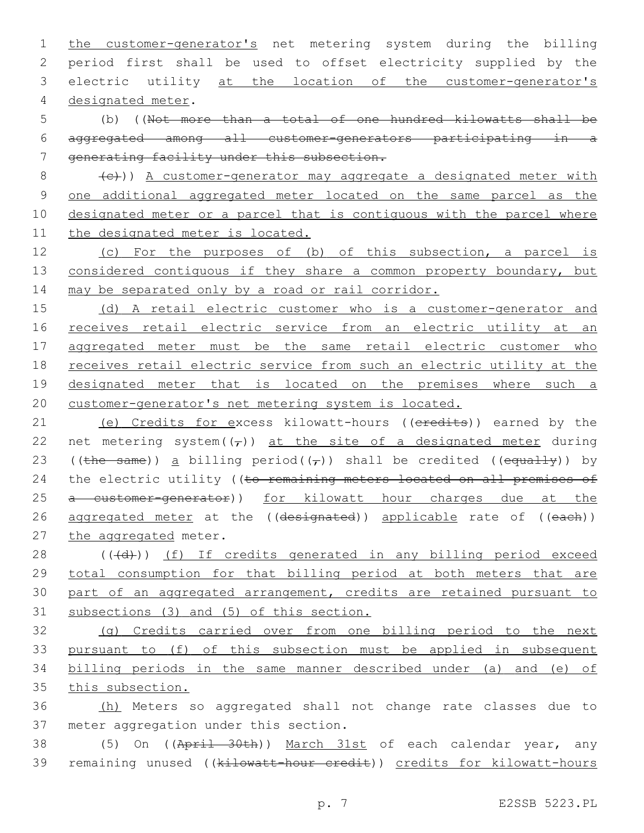the customer-generator's net metering system during the billing period first shall be used to offset electricity supplied by the electric utility at the location of the customer-generator's 4 designated meter.

5 (b) ((Not more than a total of one hundred kilowatts shall be 6 aggregated among all customer-generators participating in a 7 generating facility under this subsection.

 (e)) A customer-generator may aggregate a designated meter with one additional aggregated meter located on the same parcel as the designated meter or a parcel that is contiguous with the parcel where the designated meter is located.

12 (c) For the purposes of (b) of this subsection, a parcel is 13 considered contiguous if they share a common property boundary, but 14 may be separated only by a road or rail corridor.

15 (d) A retail electric customer who is a customer-generator and 16 receives retail electric service from an electric utility at an 17 aggregated meter must be the same retail electric customer who 18 receives retail electric service from such an electric utility at the 19 designated meter that is located on the premises where such a 20 customer-generator's net metering system is located.

21 (e) Credits for excess kilowatt-hours ((eredits)) earned by the 22 net metering system( $(\tau)$ ) at the site of a designated meter during 23 ((the same)) a billing period( $(\tau)$ ) shall be credited ((equally)) by 24 the electric utility ((to remaining meters located on all premises of 25 a customer-generator)) for kilowatt hour charges due at the 26 aggregated meter at the ((designated)) applicable rate of ((each)) 27 the aggregated meter.

28 (((d))) (f) If credits generated in any billing period exceed total consumption for that billing period at both meters that are part of an aggregated arrangement, credits are retained pursuant to subsections (3) and (5) of this section.

 (g) Credits carried over from one billing period to the next pursuant to (f) of this subsection must be applied in subsequent billing periods in the same manner described under (a) and (e) of this subsection.

36 (h) Meters so aggregated shall not change rate classes due to 37 meter aggregation under this section.

38 (5) On ((April 30th)) March 31st of each calendar year, any 39 remaining unused ((kilowatt-hour credit)) credits for kilowatt-hours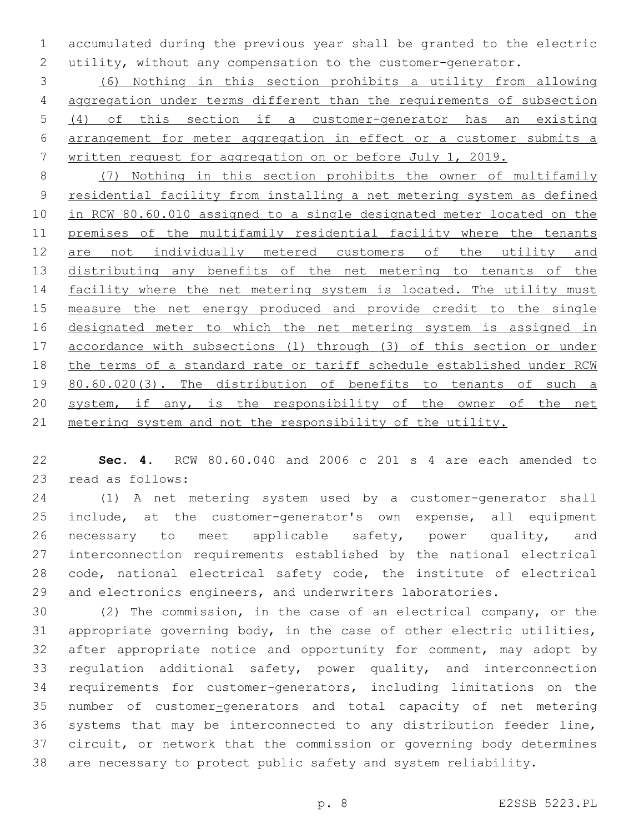accumulated during the previous year shall be granted to the electric utility, without any compensation to the customer-generator.

 (6) Nothing in this section prohibits a utility from allowing aggregation under terms different than the requirements of subsection (4) of this section if a customer-generator has an existing arrangement for meter aggregation in effect or a customer submits a written request for aggregation on or before July 1, 2019.

 (7) Nothing in this section prohibits the owner of multifamily residential facility from installing a net metering system as defined in RCW 80.60.010 assigned to a single designated meter located on the premises of the multifamily residential facility where the tenants 12 are not individually metered customers of the utility and distributing any benefits of the net metering to tenants of the 14 facility where the net metering system is located. The utility must measure the net energy produced and provide credit to the single 16 designated meter to which the net metering system is assigned in accordance with subsections (1) through (3) of this section or under the terms of a standard rate or tariff schedule established under RCW 19 80.60.020(3). The distribution of benefits to tenants of such a system, if any, is the responsibility of the owner of the net metering system and not the responsibility of the utility.

 **Sec. 4.** RCW 80.60.040 and 2006 c 201 s 4 are each amended to 23 read as follows:

 (1) A net metering system used by a customer-generator shall include, at the customer-generator's own expense, all equipment necessary to meet applicable safety, power quality, and interconnection requirements established by the national electrical code, national electrical safety code, the institute of electrical and electronics engineers, and underwriters laboratories.

 (2) The commission, in the case of an electrical company, or the appropriate governing body, in the case of other electric utilities, after appropriate notice and opportunity for comment, may adopt by regulation additional safety, power quality, and interconnection requirements for customer-generators, including limitations on the number of customer-generators and total capacity of net metering systems that may be interconnected to any distribution feeder line, circuit, or network that the commission or governing body determines are necessary to protect public safety and system reliability.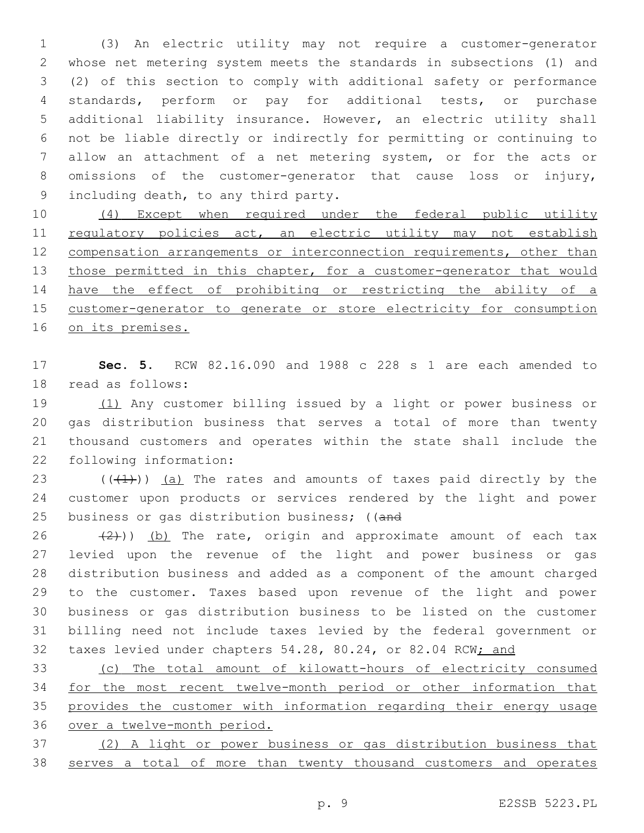(3) An electric utility may not require a customer-generator whose net metering system meets the standards in subsections (1) and (2) of this section to comply with additional safety or performance standards, perform or pay for additional tests, or purchase additional liability insurance. However, an electric utility shall not be liable directly or indirectly for permitting or continuing to allow an attachment of a net metering system, or for the acts or omissions of the customer-generator that cause loss or injury, 9 including death, to any third party.

 (4) Except when required under the federal public utility 11 regulatory policies act, an electric utility may not establish 12 compensation arrangements or interconnection requirements, other than 13 those permitted in this chapter, for a customer-generator that would have the effect of prohibiting or restricting the ability of a 15 customer-generator to generate or store electricity for consumption on its premises.

 **Sec. 5.** RCW 82.16.090 and 1988 c 228 s 1 are each amended to 18 read as follows:

 (1) Any customer billing issued by a light or power business or gas distribution business that serves a total of more than twenty thousand customers and operates within the state shall include the 22 following information:

23  $((+1))$  (a) The rates and amounts of taxes paid directly by the customer upon products or services rendered by the light and power business or gas distribution business; ((and

 $(2)$ )) (b) The rate, origin and approximate amount of each tax levied upon the revenue of the light and power business or gas distribution business and added as a component of the amount charged to the customer. Taxes based upon revenue of the light and power business or gas distribution business to be listed on the customer billing need not include taxes levied by the federal government or 32 taxes levied under chapters 54.28, 80.24, or 82.04 RCW; and

 (c) The total amount of kilowatt-hours of electricity consumed 34 for the most recent twelve-month period or other information that provides the customer with information regarding their energy usage over a twelve-month period.

 (2) A light or power business or gas distribution business that serves a total of more than twenty thousand customers and operates